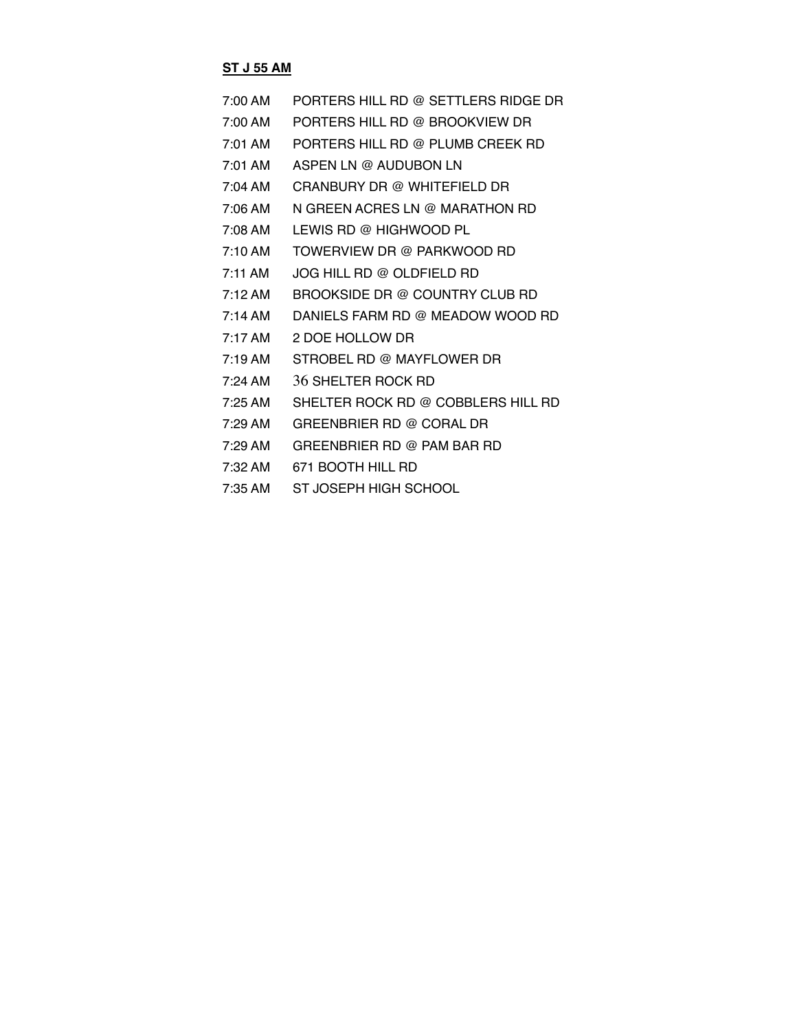#### **ST J 55 AM**

- 7:00 AM PORTERS HILL RD @ SETTLERS RIDGE DR
- 7:00 AM PORTERS HILL RD @ BROOKVIEW DR
- 7:01 AM PORTERS HILL RD @ PLUMB CREEK RD
- 7:01 AM ASPEN LN @ AUDUBON LN
- 7:04 AM CRANBURY DR @ WHITEFIELD DR
- 7:06 AM N GREEN ACRES LN @ MARATHON RD
- 7:08 AM LEWIS RD @ HIGHWOOD PL
- 7:10 AM TOWERVIEW DR @ PARKWOOD RD
- 7:11 AM JOG HILL RD @ OLDFIELD RD
- 7:12 AM BROOKSIDE DR @ COUNTRY CLUB RD
- 7:14 AM DANIELS FARM RD @ MEADOW WOOD RD
- 7:17 AM 2 DOE HOLLOW DR
- 7:19 AM STROBEL RD @ MAYFLOWER DR
- 7:24 AM 36 SHELTER ROCK RD
- 7:25 AM SHELTER ROCK RD @ COBBLERS HILL RD
- 7:29 AM GREENBRIER RD @ CORAL DR
- 7:29 AM GREENBRIER RD @ PAM BAR RD
- 7:32 AM 671 BOOTH HILL RD
- 7:35 AM ST JOSEPH HIGH SCHOOL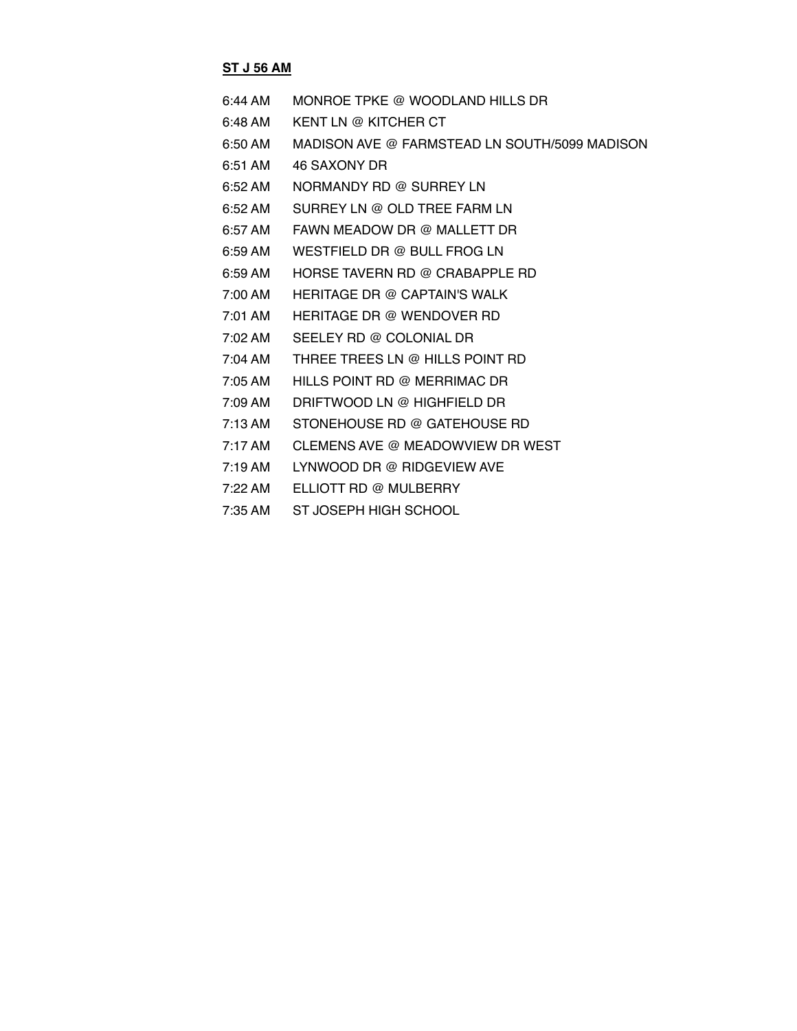## **ST J 56 AM**

| 6:44 AM             | MONROE TPKE @ WOODLAND HILLS DR               |
|---------------------|-----------------------------------------------|
| 6:48 AM             | KENT LN @ KITCHER CT                          |
| $6:50 \text{ AM}$   | MADISON AVE @ FARMSTEAD LN SOUTH/5099 MADISON |
| $6:51$ AM           | 46 SAXONY DR                                  |
| $6:52 \, \text{AM}$ | NORMANDY RD @ SURREY LN                       |
| $6:52 \, \text{AM}$ | SURREY IN @ OLD TREE FARM IN                  |
| $6:57$ AM           | FAWN MEADOW DR @ MALLETT DR                   |
| $6:59$ AM           | WESTFIELD DR @ BULL FROG LN                   |
| $6:59$ AM           | HORSE TAVERN RD @ CRABAPPLE RD                |
| 7:00 AM             | HERITAGE DR @ CAPTAIN'S WALK                  |
| $7:01$ AM           | <b>HERITAGE DR @ WENDOVER RD</b>              |
| $7:02 \, \text{AM}$ | SEELEY RD @ COLONIAL DR                       |
| $7:04 \text{ AM}$   | THREE TREES LN @ HILLS POINT RD               |
| $7:05 \text{ AM}$   | HILLS POINT RD @ MERRIMAC DR                  |
| 7:09 AM             | DRIFTWOOD LN @ HIGHFIELD DR                   |
| $7:13$ AM           | STONEHOUSE RD @ GATEHOUSE RD                  |
| $7:17 \text{ AM}$   | CLEMENS AVE @ MEADOWVIEW DR WEST              |
| $7:19$ AM           | LYNWOOD DR @ RIDGEVIEW AVE                    |
| $7:22 \text{ AM}$   | FLLIOTT RD @ MULBERRY                         |
| $7:35$ AM           | ST JOSEPH HIGH SCHOOL                         |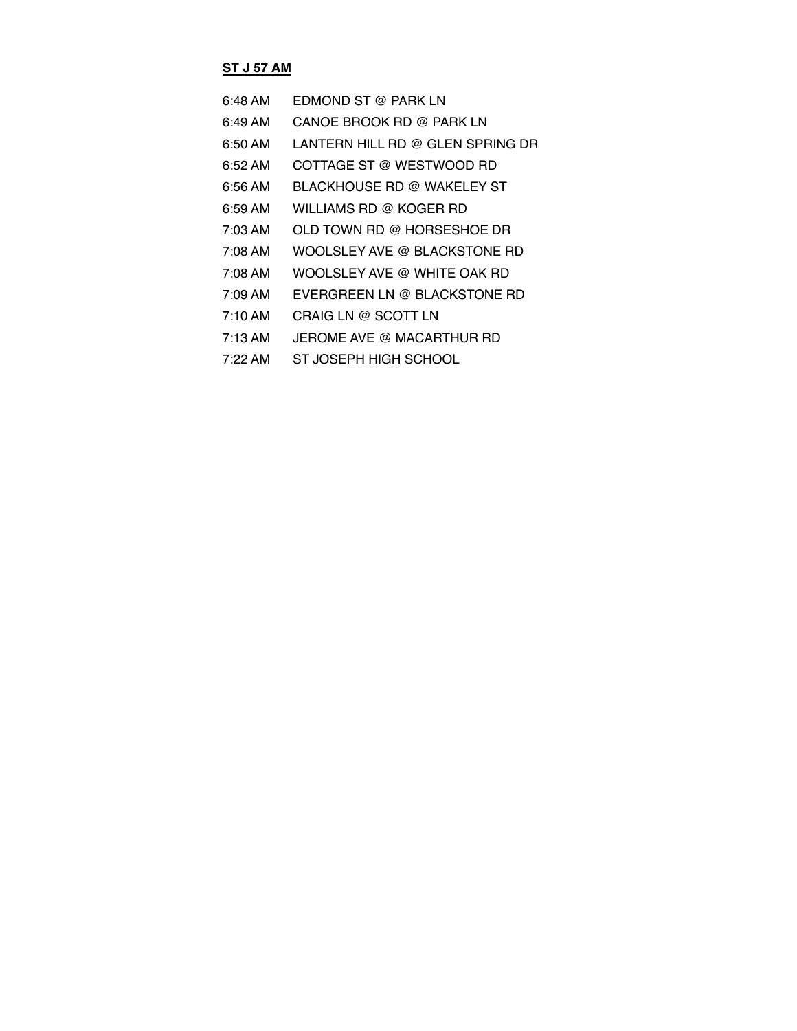# **ST J 57 AM**

| 6:48 AM           | <b>FDMOND ST @ PARK LN</b>       |
|-------------------|----------------------------------|
| 6:49 AM           | CANOE BROOK RD @ PARK LN         |
| 6:50 AM           | LANTERN HILL RD @ GLEN SPRING DR |
| 6:52 AM           | COTTAGE ST @ WESTWOOD RD         |
| 6:56 AM           | BLACKHOUSE RD @ WAKELEY ST       |
| 6:59 AM           | WILLIAMS RD @ KOGER RD           |
| 7:03 AM           | OLD TOWN RD @ HORSESHOE DR       |
| 7:08 AM           | WOOLSLEY AVE @ BLACKSTONE RD     |
| 7:08 AM           | WOOLSLEY AVE @ WHITE OAK RD      |
| 7:09 AM           | EVERGREEN LN @ BLACKSTONE RD     |
| $7:10 \text{ AM}$ | CRAIG LN @ SCOTT LN              |
| $7:13 \text{ AM}$ | JEROME AVE @ MACARTHUR RD        |
| $7.22 \text{ AM}$ | ST JOSEPH HIGH SCHOOL            |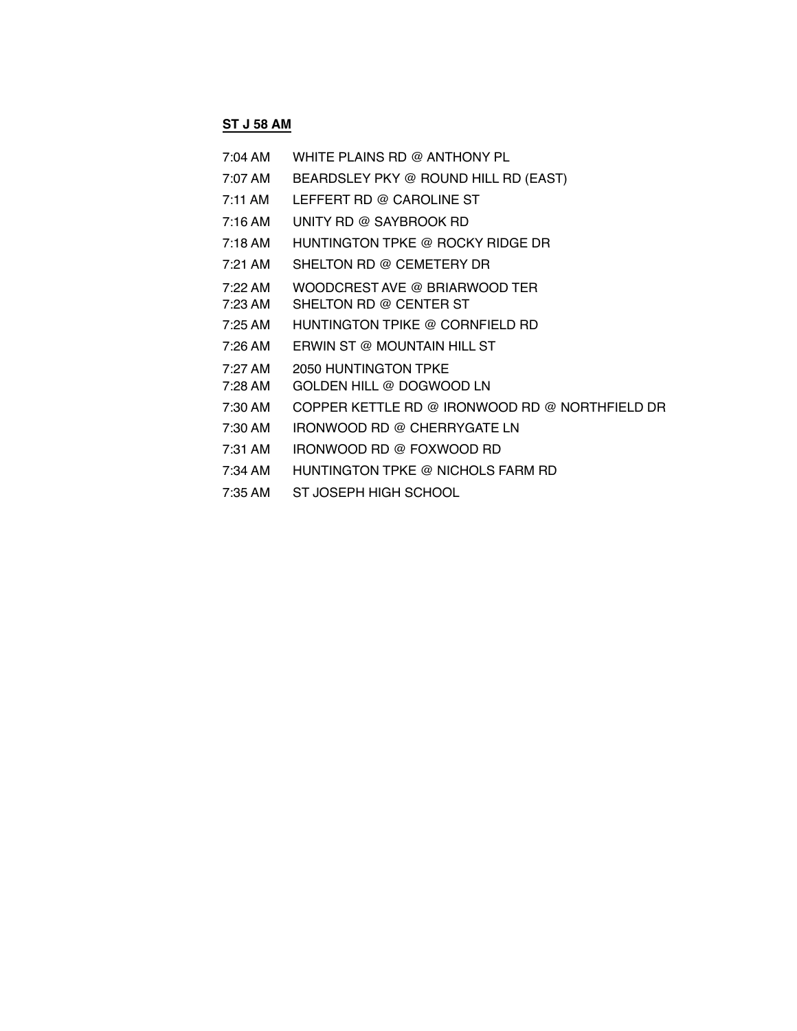## **ST J 58 AM**

| 7:04 AM   | WHITE PLAINS RD @ ANTHONY PL                   |
|-----------|------------------------------------------------|
| 7:07 AM   | BEARDSLEY PKY @ ROUND HILL RD (EAST)           |
| $7:11$ AM | LEFFERT RD @ CAROLINE ST                       |
| $7:16$ AM | UNITY RD @ SAYBROOK RD                         |
| 7:18 AM   | HUNTINGTON TPKE @ ROCKY RIDGE DR               |
| $7:21$ AM | SHELTON RD @ CEMETERY DR                       |
| 7:22 AM   | WOODCREST AVE @ BRIARWOOD TER                  |
| 7:23 AM   | SHELTON RD @ CENTER ST                         |
| 7:25 AM   | HUNTINGTON TPIKE @ CORNFIELD RD                |
| 7:26 AM   | ERWIN ST @ MOUNTAIN HILL ST                    |
| 7:27 AM   | 2050 HUNTINGTON TPKE                           |
| 7:28 AM   | GOLDEN HILL @ DOGWOOD LN                       |
| 7:30 AM   | COPPER KETTLE RD @ IRONWOOD RD @ NORTHFIELD DR |
| 7:30 AM   | IRONWOOD RD @ CHERRYGATE LN                    |
| 7:31 AM   | IRONWOOD RD @ FOXWOOD RD                       |
| 7:34 AM   | HUNTINGTON TPKE @ NICHOLS FARM RD              |
| 7:35 AM   | ST JOSEPH HIGH SCHOOL                          |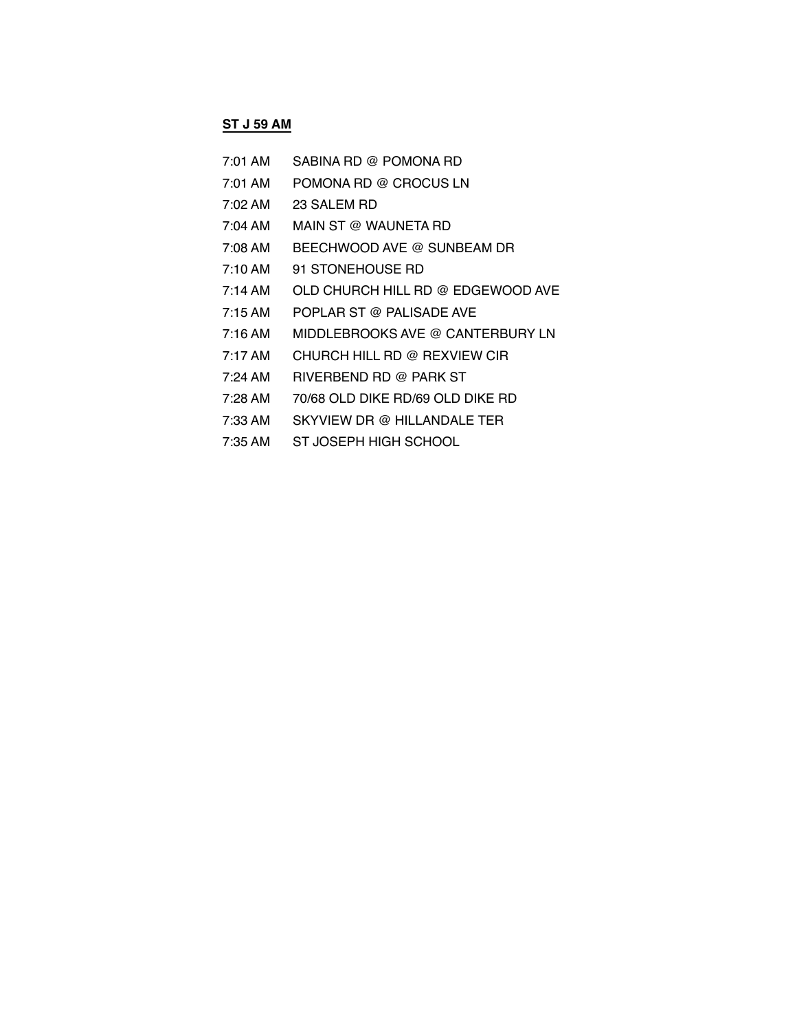### **ST J 59 AM**

- 7:01 AM SABINA RD @ POMONA RD 7:01 AM POMONA RD @ CROCUS LN 7:02 AM 23 SALEM RD 7:04 AM MAIN ST @ WAUNETA RD 7:08 AM BEECHWOOD AVE @ SUNBEAM DR 7:10 AM 91 STONEHOUSE RD 7:14 AM OLD CHURCH HILL RD @ EDGEWOOD AVE 7:15 AM POPLAR ST @ PALISADE AVE 7:16 AM MIDDLEBROOKS AVE @ CANTERBURY LN 7:17 AM CHURCH HILL RD @ REXVIEW CIR 7:24 AM RIVERBEND RD @ PARK ST 7:28 AM 70/68 OLD DIKE RD/69 OLD DIKE RD 7:33 AM SKYVIEW DR @ HILLANDALE TER
- 7:35 AM ST JOSEPH HIGH SCHOOL